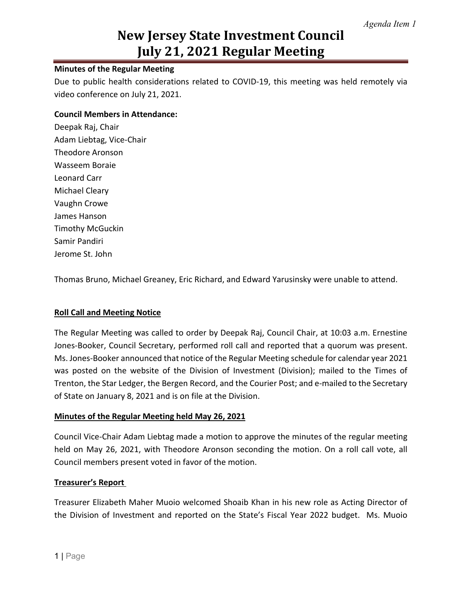#### **Minutes of the Regular Meeting**

Due to public health considerations related to COVID-19, this meeting was held remotely via video conference on July 21, 2021.

#### **Council Members in Attendance:**

Deepak Raj, Chair Adam Liebtag, Vice-Chair Theodore Aronson Wasseem Boraie Leonard Carr Michael Cleary Vaughn Crowe James Hanson Timothy McGuckin Samir Pandiri Jerome St. John

Thomas Bruno, Michael Greaney, Eric Richard, and Edward Yarusinsky were unable to attend.

#### **Roll Call and Meeting Notice**

The Regular Meeting was called to order by Deepak Raj, Council Chair, at 10:03 a.m. Ernestine Jones-Booker, Council Secretary, performed roll call and reported that a quorum was present. Ms. Jones-Booker announced that notice of the Regular Meeting schedule for calendar year 2021 was posted on the website of the Division of Investment (Division); mailed to the Times of Trenton, the Star Ledger, the Bergen Record, and the Courier Post; and e-mailed to the Secretary of State on January 8, 2021 and is on file at the Division.

#### **Minutes of the Regular Meeting held May 26, 2021**

Council Vice-Chair Adam Liebtag made a motion to approve the minutes of the regular meeting held on May 26, 2021, with Theodore Aronson seconding the motion. On a roll call vote, all Council members present voted in favor of the motion.

#### **Treasurer's Report**

Treasurer Elizabeth Maher Muoio welcomed Shoaib Khan in his new role as Acting Director of the Division of Investment and reported on the State's Fiscal Year 2022 budget. Ms. Muoio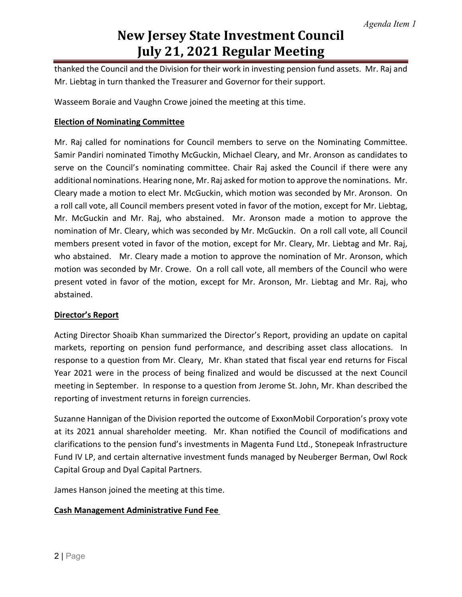thanked the Council and the Division for their work in investing pension fund assets. Mr. Raj and Mr. Liebtag in turn thanked the Treasurer and Governor for their support.

Wasseem Boraie and Vaughn Crowe joined the meeting at this time.

#### **Election of Nominating Committee**

Mr. Raj called for nominations for Council members to serve on the Nominating Committee. Samir Pandiri nominated Timothy McGuckin, Michael Cleary, and Mr. Aronson as candidates to serve on the Council's nominating committee. Chair Raj asked the Council if there were any additional nominations. Hearing none, Mr. Raj asked for motion to approve the nominations. Mr. Cleary made a motion to elect Mr. McGuckin, which motion was seconded by Mr. Aronson. On a roll call vote, all Council members present voted in favor of the motion, except for Mr. Liebtag, Mr. McGuckin and Mr. Raj, who abstained. Mr. Aronson made a motion to approve the nomination of Mr. Cleary, which was seconded by Mr. McGuckin. On a roll call vote, all Council members present voted in favor of the motion, except for Mr. Cleary, Mr. Liebtag and Mr. Raj, who abstained. Mr. Cleary made a motion to approve the nomination of Mr. Aronson, which motion was seconded by Mr. Crowe. On a roll call vote, all members of the Council who were present voted in favor of the motion, except for Mr. Aronson, Mr. Liebtag and Mr. Raj, who abstained.

#### **Director's Report**

Acting Director Shoaib Khan summarized the Director's Report, providing an update on capital markets, reporting on pension fund performance, and describing asset class allocations. In response to a question from Mr. Cleary, Mr. Khan stated that fiscal year end returns for Fiscal Year 2021 were in the process of being finalized and would be discussed at the next Council meeting in September. In response to a question from Jerome St. John, Mr. Khan described the reporting of investment returns in foreign currencies.

Suzanne Hannigan of the Division reported the outcome of ExxonMobil Corporation's proxy vote at its 2021 annual shareholder meeting. Mr. Khan notified the Council of modifications and clarifications to the pension fund's investments in Magenta Fund Ltd., Stonepeak Infrastructure Fund IV LP, and certain alternative investment funds managed by Neuberger Berman, Owl Rock Capital Group and Dyal Capital Partners.

James Hanson joined the meeting at this time.

#### **Cash Management Administrative Fund Fee**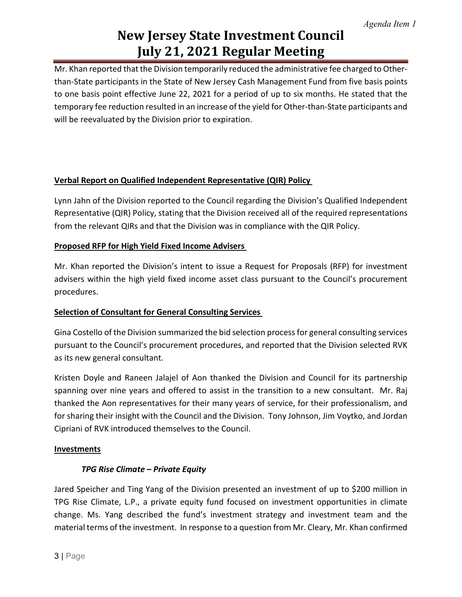Mr. Khan reported that the Division temporarily reduced the administrative fee charged to Otherthan-State participants in the State of New Jersey Cash Management Fund from five basis points to one basis point effective June 22, 2021 for a period of up to six months. He stated that the temporary fee reduction resulted in an increase of the yield for Other-than-State participants and will be reevaluated by the Division prior to expiration.

### **Verbal Report on Qualified Independent Representative (QIR) Policy**

Lynn Jahn of the Division reported to the Council regarding the Division's Qualified Independent Representative (QIR) Policy, stating that the Division received all of the required representations from the relevant QIRs and that the Division was in compliance with the QIR Policy.

## **Proposed RFP for High Yield Fixed Income Advisers**

Mr. Khan reported the Division's intent to issue a Request for Proposals (RFP) for investment advisers within the high yield fixed income asset class pursuant to the Council's procurement procedures.

### **Selection of Consultant for General Consulting Services**

Gina Costello of the Division summarized the bid selection process for general consulting services pursuant to the Council's procurement procedures, and reported that the Division selected RVK as its new general consultant.

Kristen Doyle and Raneen Jalajel of Aon thanked the Division and Council for its partnership spanning over nine years and offered to assist in the transition to a new consultant. Mr. Raj thanked the Aon representatives for their many years of service, for their professionalism, and for sharing their insight with the Council and the Division. Tony Johnson, Jim Voytko, and Jordan Cipriani of RVK introduced themselves to the Council.

### **Investments**

### *TPG Rise Climate – Private Equity*

Jared Speicher and Ting Yang of the Division presented an investment of up to \$200 million in TPG Rise Climate, L.P., a private equity fund focused on investment opportunities in climate change. Ms. Yang described the fund's investment strategy and investment team and the material terms of the investment. In response to a question from Mr. Cleary, Mr. Khan confirmed